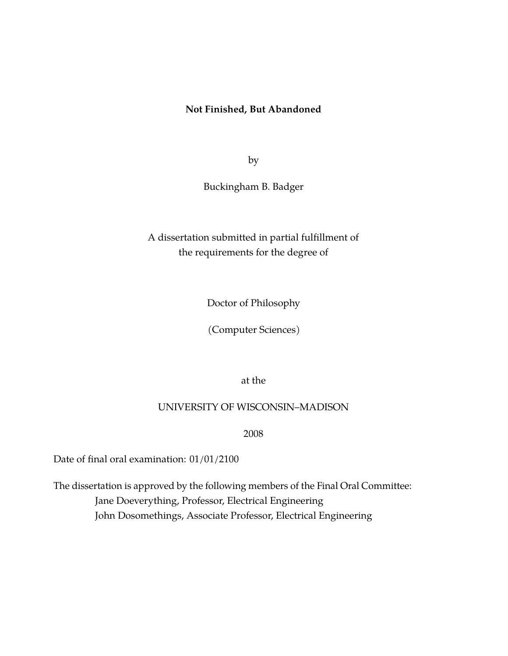## **Not Finished, But Abandoned**

by

Buckingham B. Badger

# A dissertation submitted in partial fulfillment of the requirements for the degree of

Doctor of Philosophy

(Computer Sciences)

at the

### UNIVERSITY OF WISCONSIN–MADISON

2008

Date of final oral examination: 01/01/2100

The dissertation is approved by the following members of the Final Oral Committee: Jane Doeverything, Professor, Electrical Engineering John Dosomethings, Associate Professor, Electrical Engineering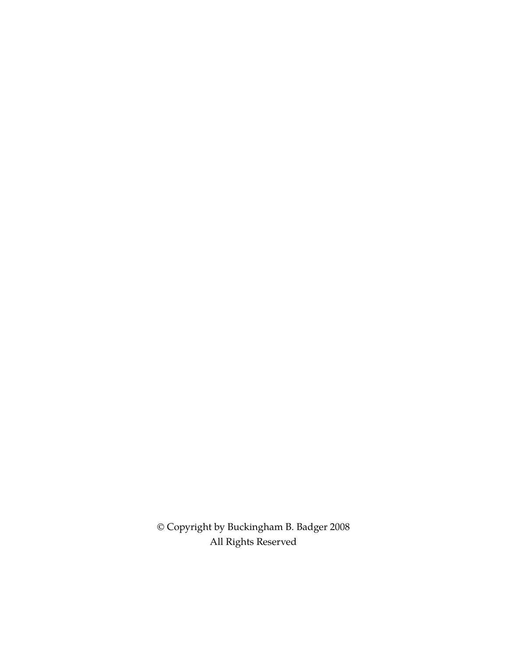© Copyright by Buckingham B. Badger 2008 All Rights Reserved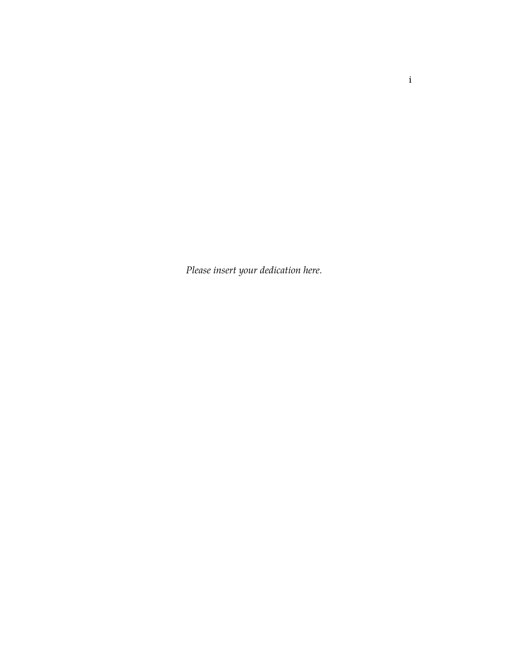*Please insert your dedication here.*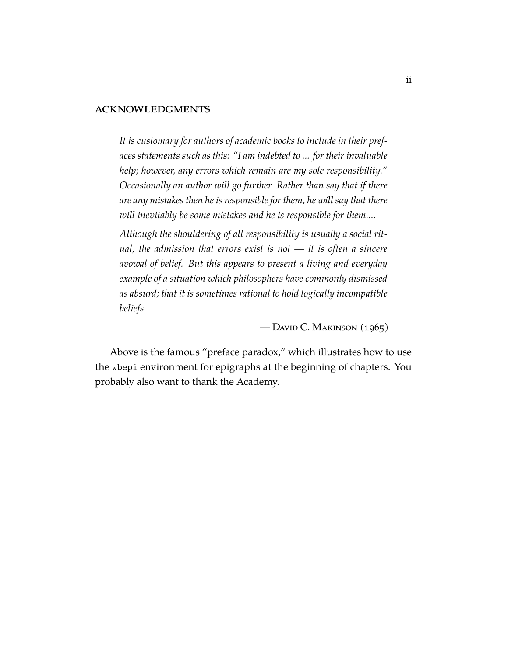#### acknowledgments

*It is customary for authors of academic books to include in their prefaces statements such as this: "I am indebted to ... for their invaluable help; however, any errors which remain are my sole responsibility." Occasionally an author will go further. Rather than say that if there are any mistakes then he is responsible for them, he will say that there will inevitably be some mistakes and he is responsible for them....*

*Although the shouldering of all responsibility is usually a social ritual, the admission that errors exist is not — it is often a sincere avowal of belief. But this appears to present a living and everyday example of a situation which philosophers have commonly dismissed as absurd; that it is sometimes rational to hold logically incompatible beliefs.*

— DAVID C. MAKINSON  $(1965)$ 

Above is the famous "preface paradox," which illustrates how to use the wbepi environment for epigraphs at the beginning of chapters. You probably also want to thank the Academy.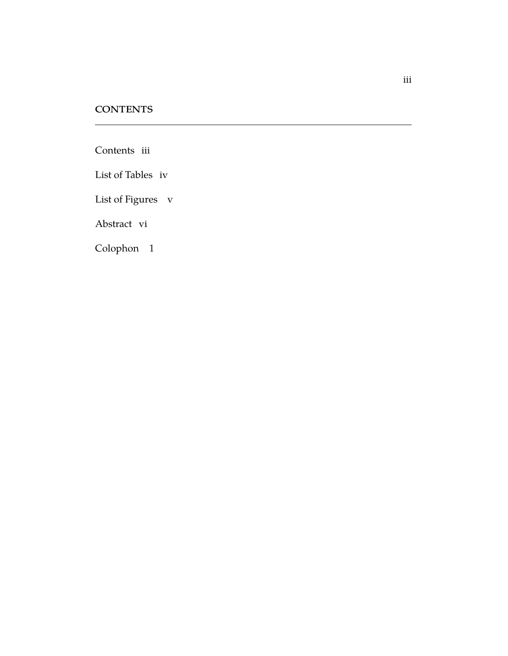## **CONTENTS**

<span id="page-4-0"></span>[Contents](#page-4-0) iii

[List of Tables](#page-5-0) iv

[List of Figures](#page-6-0) v

[Abstract](#page-8-0) vi

[Colophon](#page-10-0) 1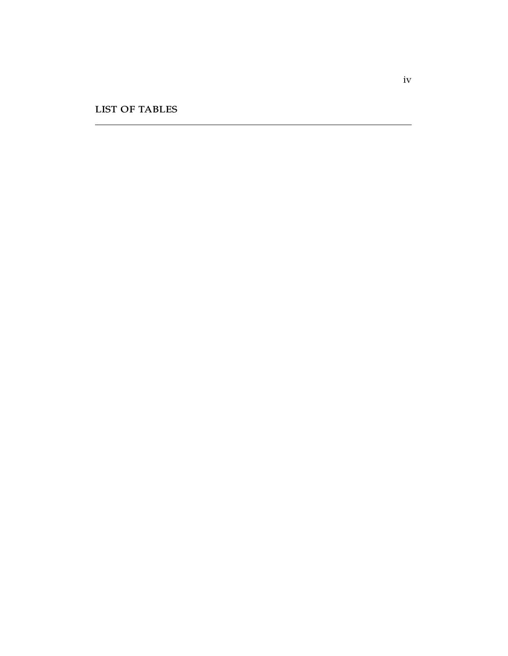<span id="page-5-0"></span>list of tables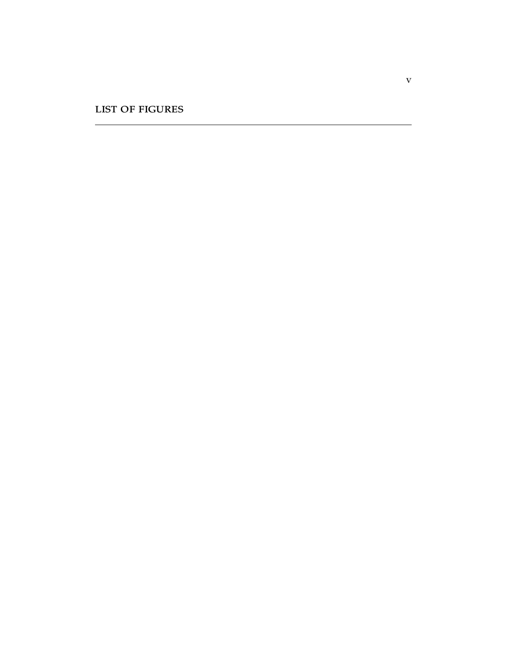<span id="page-6-0"></span>list of figures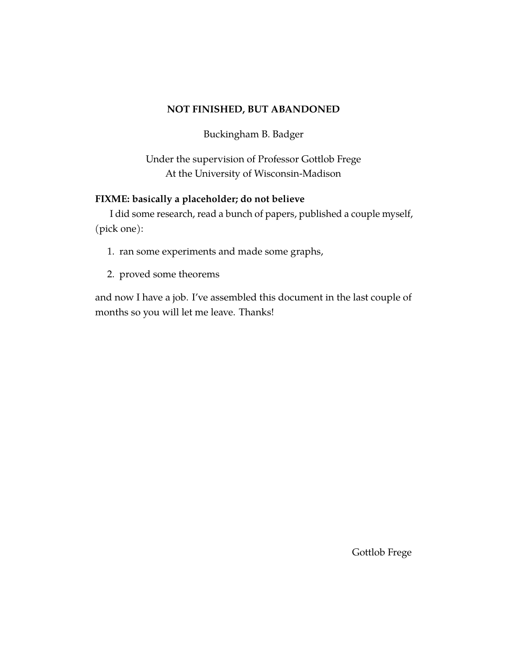## **NOT FINISHED, BUT ABANDONED**

Buckingham B. Badger

Under the supervision of Professor Gottlob Frege At the University of Wisconsin-Madison

## **FIXME: basically a placeholder; do not believe**

I did some research, read a bunch of papers, published a couple myself, (pick one):

- 1. ran some experiments and made some graphs,
- 2. proved some theorems

and now I have a job. I've assembled this document in the last couple of months so you will let me leave. Thanks!

Gottlob Frege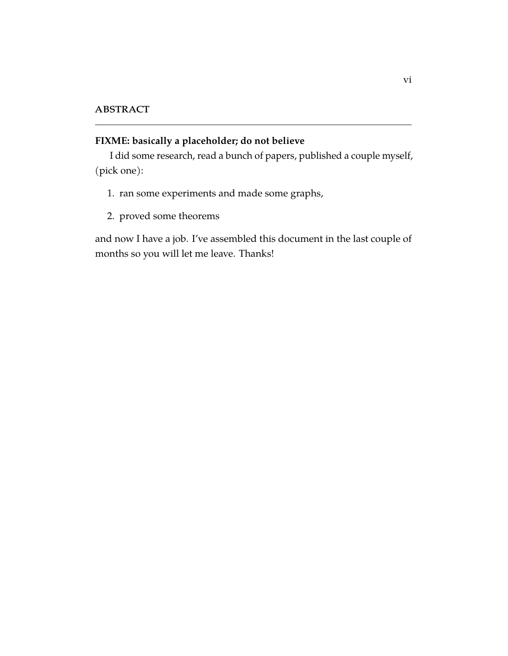# <span id="page-8-0"></span>**FIXME: basically a placeholder; do not believe**

I did some research, read a bunch of papers, published a couple myself, (pick one):

- 1. ran some experiments and made some graphs,
- 2. proved some theorems

and now I have a job. I've assembled this document in the last couple of months so you will let me leave. Thanks!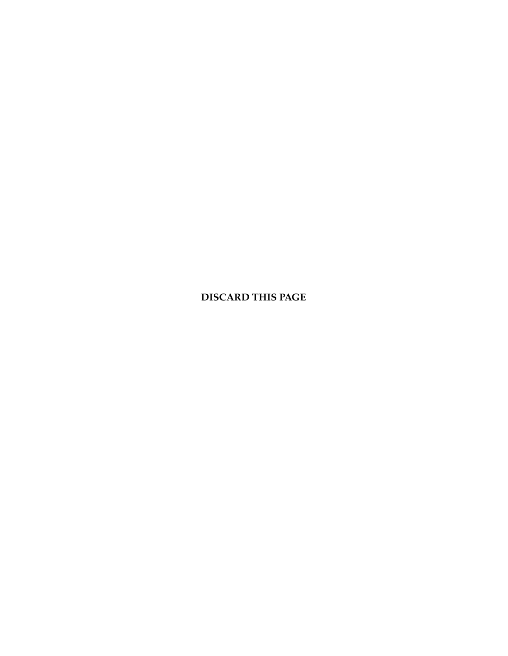**DISCARD THIS PAGE**